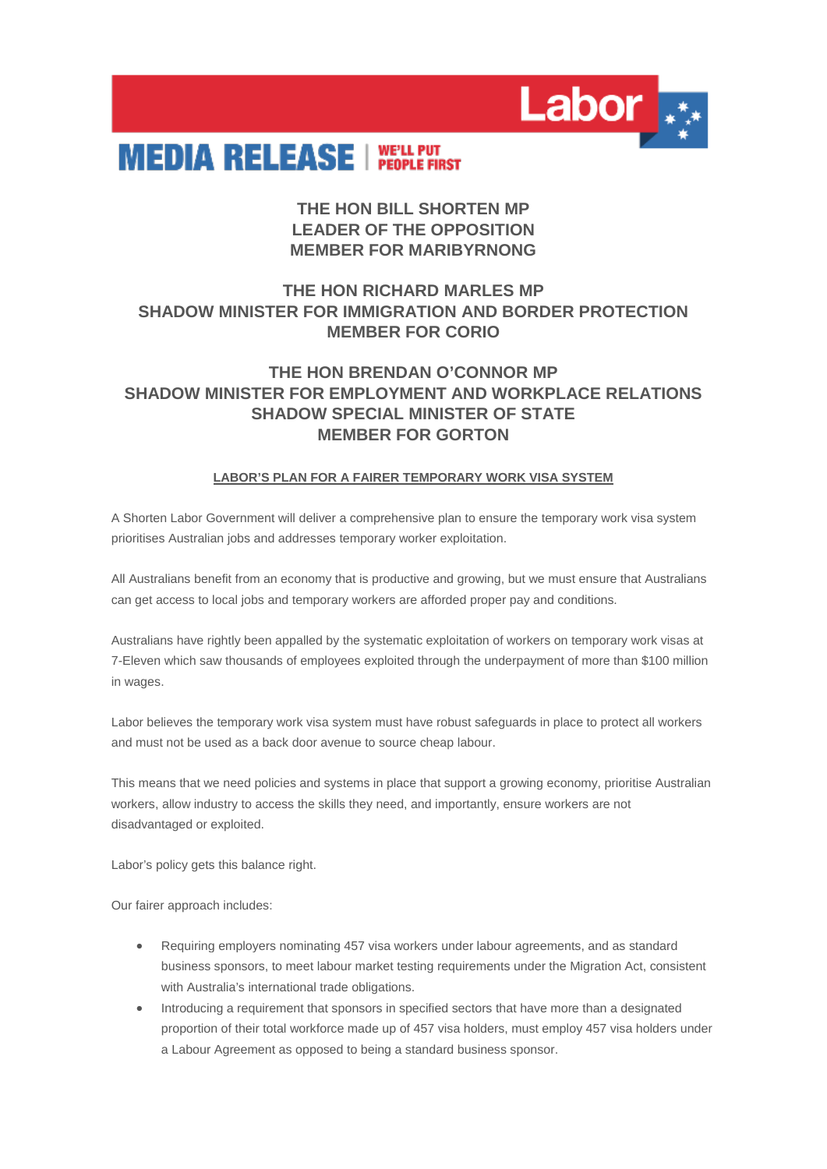

# **MEDIA RELEASE INELL PUPILE FIRST**

### **THE HON BILL SHORTEN MP LEADER OF THE OPPOSITION MEMBER FOR MARIBYRNONG**

## **THE HON RICHARD MARLES MP SHADOW MINISTER FOR IMMIGRATION AND BORDER PROTECTION MEMBER FOR CORIO**

#### **THE HON BRENDAN O'CONNOR MP SHADOW MINISTER FOR EMPLOYMENT AND WORKPLACE RELATIONS SHADOW SPECIAL MINISTER OF STATE MEMBER FOR GORTON**

#### **LABOR'S PLAN FOR A FAIRER TEMPORARY WORK VISA SYSTEM**

A Shorten Labor Government will deliver a comprehensive plan to ensure the temporary work visa system prioritises Australian jobs and addresses temporary worker exploitation.

All Australians benefit from an economy that is productive and growing, but we must ensure that Australians can get access to local jobs and temporary workers are afforded proper pay and conditions.

Australians have rightly been appalled by the systematic exploitation of workers on temporary work visas at 7-Eleven which saw thousands of employees exploited through the underpayment of more than \$100 million in wages.

Labor believes the temporary work visa system must have robust safeguards in place to protect all workers and must not be used as a back door avenue to source cheap labour.

This means that we need policies and systems in place that support a growing economy, prioritise Australian workers, allow industry to access the skills they need, and importantly, ensure workers are not disadvantaged or exploited.

Labor's policy gets this balance right.

Our fairer approach includes:

- Requiring employers nominating 457 visa workers under labour agreements, and as standard business sponsors, to meet labour market testing requirements under the Migration Act, consistent with Australia's international trade obligations.
- Introducing a requirement that sponsors in specified sectors that have more than a designated proportion of their total workforce made up of 457 visa holders, must employ 457 visa holders under a Labour Agreement as opposed to being a standard business sponsor.